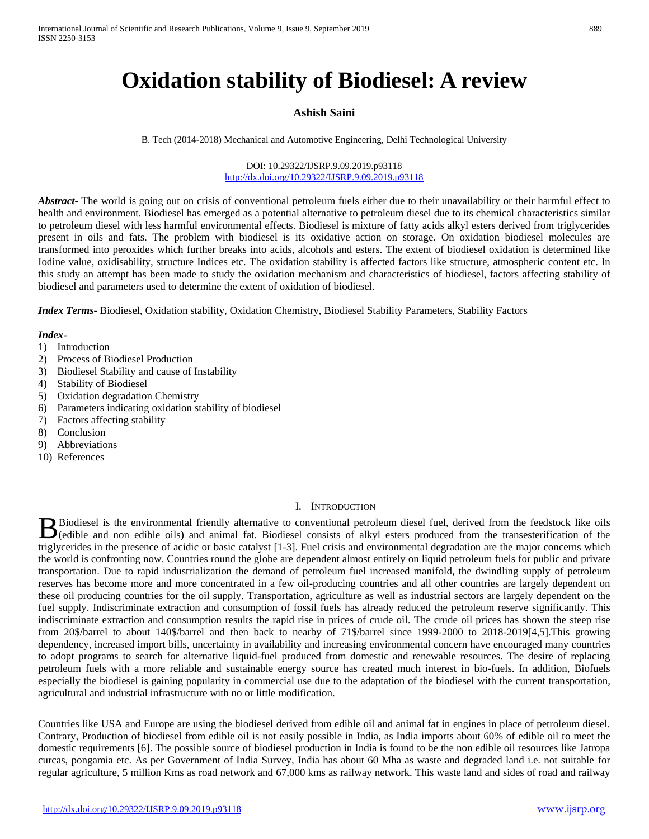# **Oxidation stability of Biodiesel: A review**

# **Ashish Saini**

B. Tech (2014-2018) Mechanical and Automotive Engineering, Delhi Technological University

DOI: 10.29322/IJSRP.9.09.2019.p93118 <http://dx.doi.org/10.29322/IJSRP.9.09.2019.p93118>

*Abstract***-** The world is going out on crisis of conventional petroleum fuels either due to their unavailability or their harmful effect to health and environment. Biodiesel has emerged as a potential alternative to petroleum diesel due to its chemical characteristics similar to petroleum diesel with less harmful environmental effects. Biodiesel is mixture of fatty acids alkyl esters derived from triglycerides present in oils and fats. The problem with biodiesel is its oxidative action on storage. On oxidation biodiesel molecules are transformed into peroxides which further breaks into acids, alcohols and esters. The extent of biodiesel oxidation is determined like Iodine value, oxidisability, structure Indices etc. The oxidation stability is affected factors like structure, atmospheric content etc. In this study an attempt has been made to study the oxidation mechanism and characteristics of biodiesel, factors affecting stability of biodiesel and parameters used to determine the extent of oxidation of biodiesel.

*Index Terms*- Biodiesel, Oxidation stability, Oxidation Chemistry, Biodiesel Stability Parameters, Stability Factors

#### *Index-*

- 1) Introduction
- 2) Process of Biodiesel Production
- 3) Biodiesel Stability and cause of Instability
- 4) Stability of Biodiesel
- 5) Oxidation degradation Chemistry
- 6) Parameters indicating oxidation stability of biodiesel
- 7) Factors affecting stability
- 8) Conclusion
- 9) Abbreviations
- 10) References

#### I. INTRODUCTION

Biodiesel is the environmental friendly alternative to conventional petroleum diesel fuel, derived from the feedstock like oils Biodiesel is the environmental friendly alternative to conventional petroleum diesel fuel, derived from the feedstock like oils (edible and non edible oils) and animal fat. Biodiesel consists of alkyl esters produced from triglycerides in the presence of acidic or basic catalyst [1-3]. Fuel crisis and environmental degradation are the major concerns which the world is confronting now. Countries round the globe are dependent almost entirely on liquid petroleum fuels for public and private transportation. Due to rapid industrialization the demand of petroleum fuel increased manifold, the dwindling supply of petroleum reserves has become more and more concentrated in a few oil-producing countries and all other countries are largely dependent on these oil producing countries for the oil supply. Transportation, agriculture as well as industrial sectors are largely dependent on the fuel supply. Indiscriminate extraction and consumption of fossil fuels has already reduced the petroleum reserve significantly. This indiscriminate extraction and consumption results the rapid rise in prices of crude oil. The crude oil prices has shown the steep rise from 20\$/barrel to about 140\$/barrel and then back to nearby of 71\$/barrel since 1999-2000 to 2018-2019[4,5].This growing dependency, increased import bills, uncertainty in availability and increasing environmental concern have encouraged many countries to adopt programs to search for alternative liquid-fuel produced from domestic and renewable resources. The desire of replacing petroleum fuels with a more reliable and sustainable energy source has created much interest in bio-fuels. In addition, Biofuels especially the biodiesel is gaining popularity in commercial use due to the adaptation of the biodiesel with the current transportation, agricultural and industrial infrastructure with no or little modification.

Countries like USA and Europe are using the biodiesel derived from edible oil and animal fat in engines in place of petroleum diesel. Contrary, Production of biodiesel from edible oil is not easily possible in India, as India imports about 60% of edible oil to meet the domestic requirements [6]. The possible source of biodiesel production in India is found to be the non edible oil resources like Jatropa curcas, pongamia etc. As per Government of India Survey, India has about 60 Mha as waste and degraded land i.e. not suitable for regular agriculture, 5 million Kms as road network and 67,000 kms as railway network. This waste land and sides of road and railway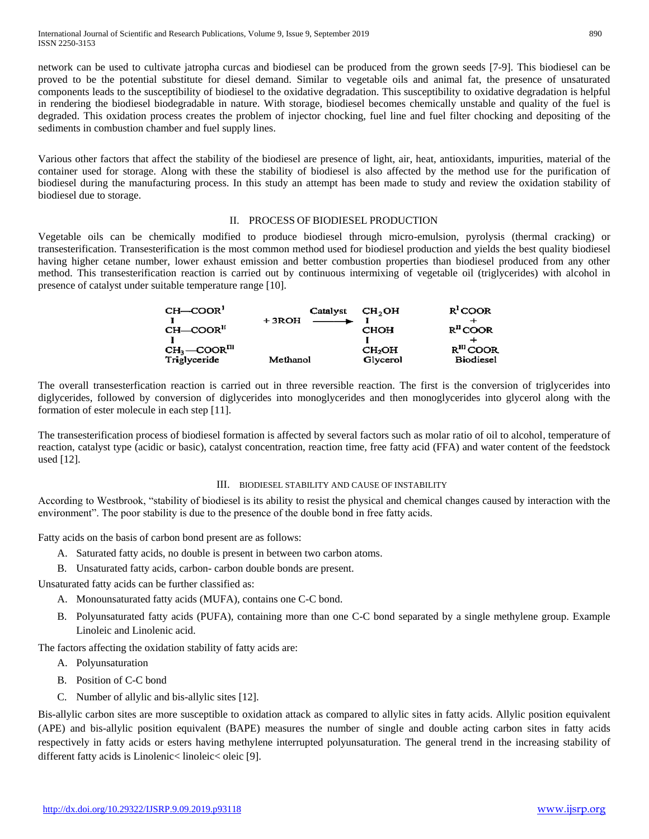network can be used to cultivate jatropha curcas and biodiesel can be produced from the grown seeds [7-9]. This biodiesel can be proved to be the potential substitute for diesel demand. Similar to vegetable oils and animal fat, the presence of unsaturated components leads to the susceptibility of biodiesel to the oxidative degradation. This susceptibility to oxidative degradation is helpful in rendering the biodiesel biodegradable in nature. With storage, biodiesel becomes chemically unstable and quality of the fuel is degraded. This oxidation process creates the problem of injector chocking, fuel line and fuel filter chocking and depositing of the sediments in combustion chamber and fuel supply lines.

Various other factors that affect the stability of the biodiesel are presence of light, air, heat, antioxidants, impurities, material of the container used for storage. Along with these the stability of biodiesel is also affected by the method use for the purification of biodiesel during the manufacturing process. In this study an attempt has been made to study and review the oxidation stability of biodiesel due to storage.

## II. PROCESS OF BIODIESEL PRODUCTION

Vegetable oils can be chemically modified to produce biodiesel through micro-emulsion, pyrolysis (thermal cracking) or transesterification. Transesterification is the most common method used for biodiesel production and yields the best quality biodiesel having higher cetane number, lower exhaust emission and better combustion properties than biodiesel produced from any other method. This transesterification reaction is carried out by continuous intermixing of vegetable oil (triglycerides) with alcohol in presence of catalyst under suitable temperature range [10].

| $CH$ -COOR <sup>1</sup>    |          | Catalyst CH <sub>2</sub> OH            |                    | $R^{I}$ COOR            |
|----------------------------|----------|----------------------------------------|--------------------|-------------------------|
|                            | $+3ROH$  | $\overline{\phantom{iiiiiiiiiiiiiii}}$ |                    |                         |
| $CH$ -COOR <sup>II</sup>   |          |                                        | <b>CHOH</b>        | $RH$ COOR               |
|                            |          |                                        |                    |                         |
| $CH3$ -COOR <sup>III</sup> |          |                                        | CH <sub>2</sub> OH | $R$ <sup>III</sup> COOR |
| Triglyceride               | Methanol |                                        | Glycerol           | <b>Biodiesel</b>        |

The overall transesterfication reaction is carried out in three reversible reaction. The first is the conversion of triglycerides into diglycerides, followed by conversion of diglycerides into monoglycerides and then monoglycerides into glycerol along with the formation of ester molecule in each step [11].

The transesterification process of biodiesel formation is affected by several factors such as molar ratio of oil to alcohol, temperature of reaction, catalyst type (acidic or basic), catalyst concentration, reaction time, free fatty acid (FFA) and water content of the feedstock used [12].

### III. BIODIESEL STABILITY AND CAUSE OF INSTABILITY

According to Westbrook, "stability of biodiesel is its ability to resist the physical and chemical changes caused by interaction with the environment". The poor stability is due to the presence of the double bond in free fatty acids.

Fatty acids on the basis of carbon bond present are as follows:

- A. Saturated fatty acids, no double is present in between two carbon atoms.
- B. Unsaturated fatty acids, carbon- carbon double bonds are present.

Unsaturated fatty acids can be further classified as:

- A. Monounsaturated fatty acids (MUFA), contains one C-C bond.
- B. Polyunsaturated fatty acids (PUFA), containing more than one C-C bond separated by a single methylene group. Example Linoleic and Linolenic acid.

The factors affecting the oxidation stability of fatty acids are:

- A. Polyunsaturation
- B. Position of C-C bond
- C. Number of allylic and bis-allylic sites [12].

Bis-allylic carbon sites are more susceptible to oxidation attack as compared to allylic sites in fatty acids. Allylic position equivalent (APE) and bis-allylic position equivalent (BAPE) measures the number of single and double acting carbon sites in fatty acids respectively in fatty acids or esters having methylene interrupted polyunsaturation. The general trend in the increasing stability of different fatty acids is Linolenic< linoleic< oleic [9].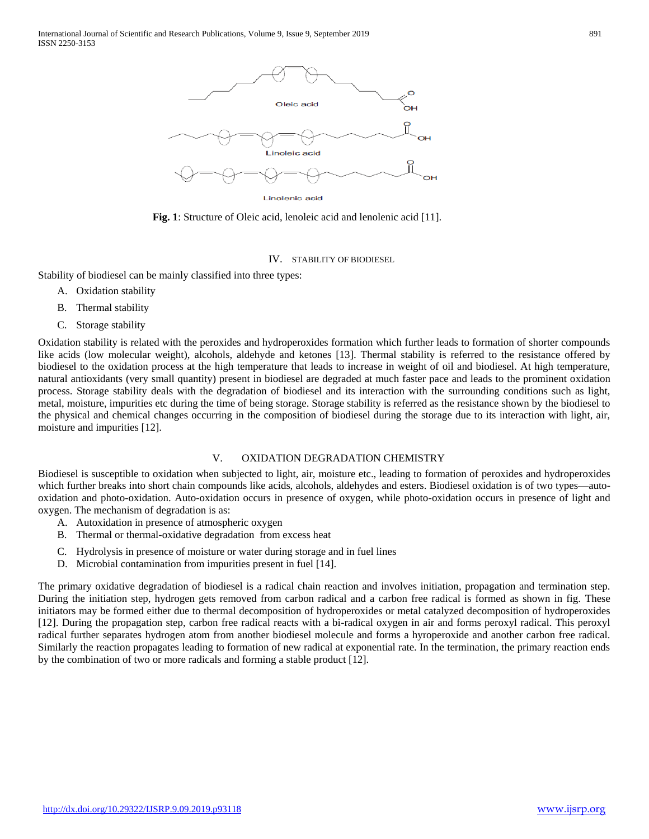

**Fig. 1**: Structure of Oleic acid, lenoleic acid and lenolenic acid [11].

## IV. STABILITY OF BIODIESEL

Stability of biodiesel can be mainly classified into three types:

- A. Oxidation stability
- B. Thermal stability
- C. Storage stability

Oxidation stability is related with the peroxides and hydroperoxides formation which further leads to formation of shorter compounds like acids (low molecular weight), alcohols, aldehyde and ketones [13]. Thermal stability is referred to the resistance offered by biodiesel to the oxidation process at the high temperature that leads to increase in weight of oil and biodiesel. At high temperature, natural antioxidants (very small quantity) present in biodiesel are degraded at much faster pace and leads to the prominent oxidation process. Storage stability deals with the degradation of biodiesel and its interaction with the surrounding conditions such as light, metal, moisture, impurities etc during the time of being storage. Storage stability is referred as the resistance shown by the biodiesel to the physical and chemical changes occurring in the composition of biodiesel during the storage due to its interaction with light, air, moisture and impurities [12].

### V. OXIDATION DEGRADATION CHEMISTRY

Biodiesel is susceptible to oxidation when subjected to light, air, moisture etc., leading to formation of peroxides and hydroperoxides which further breaks into short chain compounds like acids, alcohols, aldehydes and esters. Biodiesel oxidation is of two types—autooxidation and photo-oxidation. Auto-oxidation occurs in presence of oxygen, while photo-oxidation occurs in presence of light and oxygen. The mechanism of degradation is as:

- A. Autoxidation in presence of atmospheric oxygen
- B. Thermal or thermal-oxidative degradation from excess heat
- C. Hydrolysis in presence of moisture or water during storage and in fuel lines
- D. Microbial contamination from impurities present in fuel [14].

The primary oxidative degradation of biodiesel is a radical chain reaction and involves initiation, propagation and termination step. During the initiation step, hydrogen gets removed from carbon radical and a carbon free radical is formed as shown in fig. These initiators may be formed either due to thermal decomposition of hydroperoxides or metal catalyzed decomposition of hydroperoxides [12]. During the propagation step, carbon free radical reacts with a bi-radical oxygen in air and forms peroxyl radical. This peroxyl radical further separates hydrogen atom from another biodiesel molecule and forms a hyroperoxide and another carbon free radical. Similarly the reaction propagates leading to formation of new radical at exponential rate. In the termination, the primary reaction ends by the combination of two or more radicals and forming a stable product [12].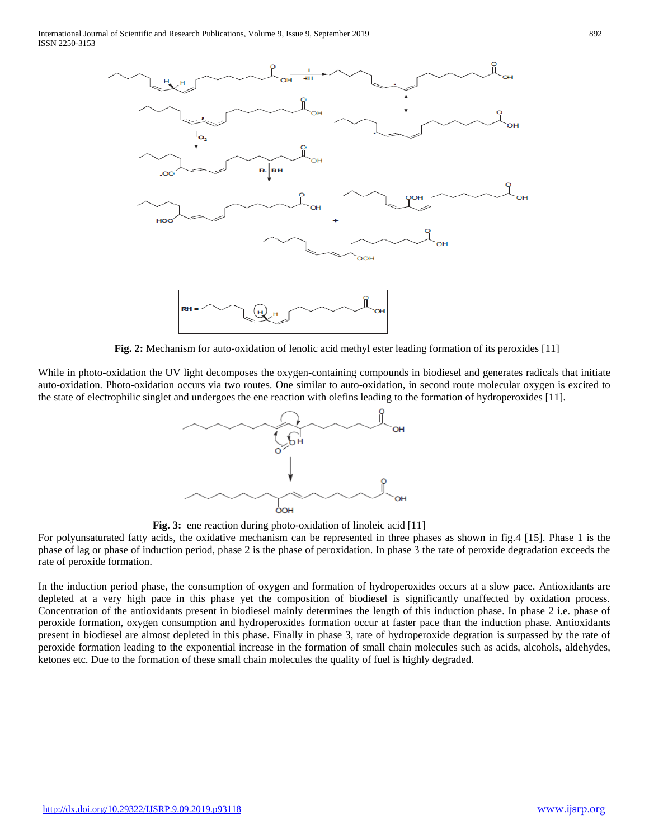

**Fig. 2:** Mechanism for auto-oxidation of lenolic acid methyl ester leading formation of its peroxides [11]

While in photo-oxidation the UV light decomposes the oxygen-containing compounds in biodiesel and generates radicals that initiate auto-oxidation. Photo-oxidation occurs via two routes. One similar to auto-oxidation, in second route molecular oxygen is excited to the state of electrophilic singlet and undergoes the ene reaction with olefins leading to the formation of hydroperoxides [11].



**Fig. 3:** ene reaction during photo-oxidation of linoleic acid [11]

For polyunsaturated fatty acids, the oxidative mechanism can be represented in three phases as shown in fig.4 [15]. Phase 1 is the phase of lag or phase of induction period, phase 2 is the phase of peroxidation. In phase 3 the rate of peroxide degradation exceeds the rate of peroxide formation.

In the induction period phase, the consumption of oxygen and formation of hydroperoxides occurs at a slow pace. Antioxidants are depleted at a very high pace in this phase yet the composition of biodiesel is significantly unaffected by oxidation process. Concentration of the antioxidants present in biodiesel mainly determines the length of this induction phase. In phase 2 i.e. phase of peroxide formation, oxygen consumption and hydroperoxides formation occur at faster pace than the induction phase. Antioxidants present in biodiesel are almost depleted in this phase. Finally in phase 3, rate of hydroperoxide degration is surpassed by the rate of peroxide formation leading to the exponential increase in the formation of small chain molecules such as acids, alcohols, aldehydes, ketones etc. Due to the formation of these small chain molecules the quality of fuel is highly degraded.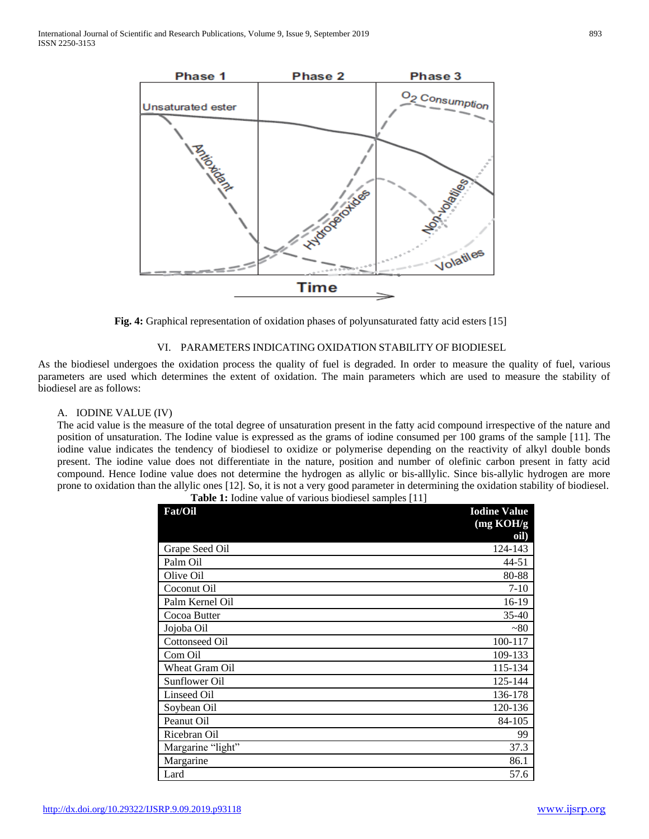

**Fig. 4:** Graphical representation of oxidation phases of polyunsaturated fatty acid esters [15]

# VI. PARAMETERS INDICATING OXIDATION STABILITY OF BIODIESEL

As the biodiesel undergoes the oxidation process the quality of fuel is degraded. In order to measure the quality of fuel, various parameters are used which determines the extent of oxidation. The main parameters which are used to measure the stability of biodiesel are as follows:

### A. IODINE VALUE (IV)

The acid value is the measure of the total degree of unsaturation present in the fatty acid compound irrespective of the nature and position of unsaturation. The Iodine value is expressed as the grams of iodine consumed per 100 grams of the sample [11]. The iodine value indicates the tendency of biodiesel to oxidize or polymerise depending on the reactivity of alkyl double bonds present. The iodine value does not differentiate in the nature, position and number of olefinic carbon present in fatty acid compound. Hence Iodine value does not determine the hydrogen as allylic or bis-alllylic. Since bis-allylic hydrogen are more prone to oxidation than the allylic ones [12]. So, it is not a very good parameter in determining the oxidation stability of biodiesel.

| Fat/Oil               | <b>Iodine Value</b> |
|-----------------------|---------------------|
|                       | (mg KOH/g)<br>oil)  |
| Grape Seed Oil        | 124-143             |
| Palm Oil              | 44-51               |
| Olive Oil             | 80-88               |
| Coconut Oil           | $7 - 10$            |
| Palm Kernel Oil       | 16-19               |
| Cocoa Butter          | $35-40$             |
| Jojoba Oil            | $~1$ $~80$          |
| <b>Cottonseed Oil</b> | 100-117             |
| Com Oil               | 109-133             |
| Wheat Gram Oil        | 115-134             |
| Sunflower Oil         | 125-144             |
| <b>Linseed Oil</b>    | 136-178             |
| Soybean Oil           | 120-136             |
| Peanut Oil            | 84-105              |
| Ricebran Oil          | 99                  |
| Margarine "light"     | 37.3                |
| Margarine             | 86.1                |
| Lard                  | 57.6                |

**Table 1:** Iodine value of various biodiesel samples [11]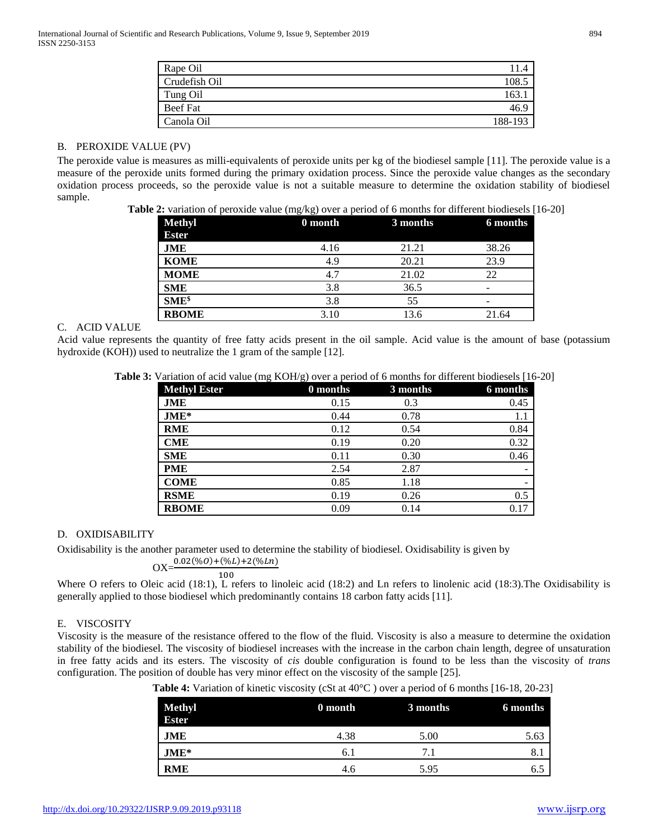| Rape Oil        |         |
|-----------------|---------|
| Crudefish Oil   | 108.    |
| Tung Oil        | .63     |
| <b>Beef Fat</b> |         |
| Canola Oil      | 188-193 |

### B. PEROXIDE VALUE (PV)

The peroxide value is measures as milli-equivalents of peroxide units per kg of the biodiesel sample [11]. The peroxide value is a measure of the peroxide units formed during the primary oxidation process. Since the peroxide value changes as the secondary oxidation process proceeds, so the peroxide value is not a suitable measure to determine the oxidation stability of biodiesel sample.

**Table 2:** variation of peroxide value (mg/kg) over a period of 6 months for different biodiesels [16-20]

| <b>Methyl</b><br><b>Ester</b> | 0 month | 3 months | 6 months |
|-------------------------------|---------|----------|----------|
| JME                           | 4.16    | 21.21    | 38.26    |
| <b>KOME</b>                   | 4.9     | 20.21    | 23.9     |
| <b>MOME</b>                   | 4.7     | 21.02    | 22       |
| <b>SME</b>                    | 3.8     | 36.5     | -        |
| $SME^{\$}$                    | 3.8     | 55       | -        |
| <b>RBOME</b>                  | 3.10    | 13.6     | 21.64    |

## C. ACID VALUE

Acid value represents the quantity of free fatty acids present in the oil sample. Acid value is the amount of base (potassium hydroxide (KOH)) used to neutralize the 1 gram of the sample [12].

|  |  |  |  | Table 3: Variation of acid value (mg KOH/g) over a period of 6 months for different biodiesels [16-20] |  |
|--|--|--|--|--------------------------------------------------------------------------------------------------------|--|
|--|--|--|--|--------------------------------------------------------------------------------------------------------|--|

| <b>Methyl Ester</b> | 0 months | 3 months | 6 months |
|---------------------|----------|----------|----------|
| JME                 | 0.15     | 0.3      | 0.45     |
| $JME*$              | 0.44     | 0.78     | 1.1      |
| <b>RME</b>          | 0.12     | 0.54     | 0.84     |
| <b>CME</b>          | 0.19     | 0.20     | 0.32     |
| <b>SME</b>          | 0.11     | 0.30     | 0.46     |
| <b>PME</b>          | 2.54     | 2.87     |          |
| <b>COME</b>         | 0.85     | 1.18     |          |
| <b>RSME</b>         | 0.19     | 0.26     | 0.5      |
| <b>RBOME</b>        | 0.09     | 0.14     | 0.17     |

### D. OXIDISABILITY

Oxidisability is the another parameter used to determine the stability of biodiesel. Oxidisability is given by

$$
OX = \frac{0.02(\%0) + (\%L) + 2(\%Ln)}{100}
$$

Where O refers to Oleic acid (18:1), L refers to linoleic acid (18:2) and Ln refers to linolenic acid (18:3).The Oxidisability is generally applied to those biodiesel which predominantly contains 18 carbon fatty acids [11].

# E. VISCOSITY

Viscosity is the measure of the resistance offered to the flow of the fluid. Viscosity is also a measure to determine the oxidation stability of the biodiesel. The viscosity of biodiesel increases with the increase in the carbon chain length, degree of unsaturation in free fatty acids and its esters. The viscosity of *cis* double configuration is found to be less than the viscosity of *trans* configuration. The position of double has very minor effect on the viscosity of the sample [25].

**Table 4:** Variation of kinetic viscosity (cSt at 40°C ) over a period of 6 months [16-18, 20-23]

| <b>Methyl</b><br><b>Ester</b> | 0 month | 3 months | 6 months |
|-------------------------------|---------|----------|----------|
| JME                           | 4.38    | 5.00     | 5.63     |
| $JME*$                        | 6. I    |          | 8.1      |
| <b>RME</b>                    | 4.6     | 5.95     | ნ.პ      |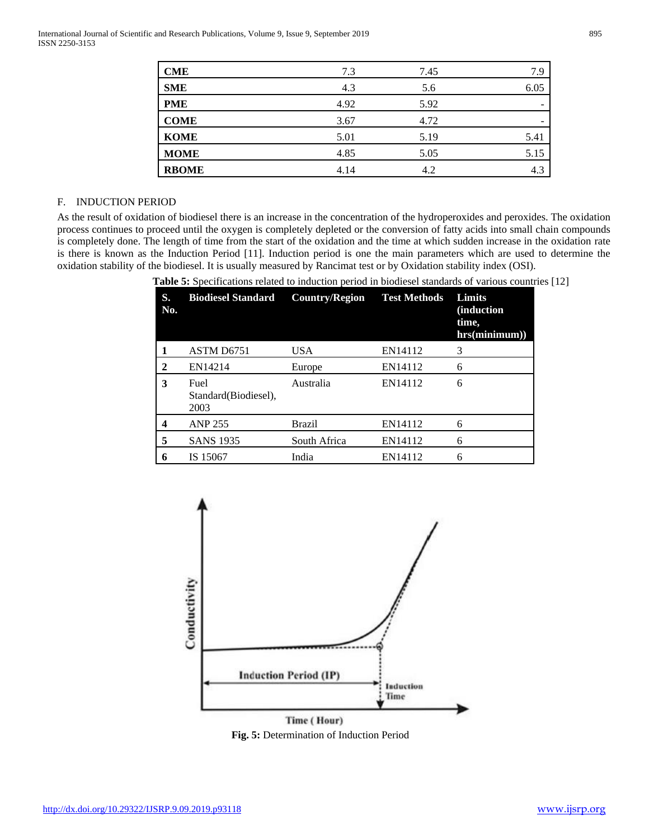| <b>CME</b>   | 7.3  | 7.45 | 7.9  |
|--------------|------|------|------|
| <b>SME</b>   | 4.3  | 5.6  | 6.05 |
| <b>PME</b>   | 4.92 | 5.92 |      |
| <b>COME</b>  | 3.67 | 4.72 |      |
| <b>KOME</b>  | 5.01 | 5.19 | 5.41 |
| <b>MOME</b>  | 4.85 | 5.05 | 5.15 |
| <b>RBOME</b> | 4.14 | 4.2  | 4.3  |
|              |      |      |      |

## F. INDUCTION PERIOD

As the result of oxidation of biodiesel there is an increase in the concentration of the hydroperoxides and peroxides. The oxidation process continues to proceed until the oxygen is completely depleted or the conversion of fatty acids into small chain compounds is completely done. The length of time from the start of the oxidation and the time at which sudden increase in the oxidation rate is there is known as the Induction Period [11]. Induction period is one the main parameters which are used to determine the oxidation stability of the biodiesel. It is usually measured by Rancimat test or by Oxidation stability index (OSI).

**S. No. Biodiesel Standard Country/Region Test Methods Limits (induction time, hrs(minimum)) 1** ASTM D6751 USA EN14112 3 **2** EN14214 Europe EN14112 6 **3** Fuel Standard(Biodiesel), 2003 Australia EN14112 6 **4** ANP 255 Brazil EN14112 6 **5** SANS 1935 South Africa EN14112 6 **6** IS 15067 India EN14112 6





**Fig. 5:** Determination of Induction Period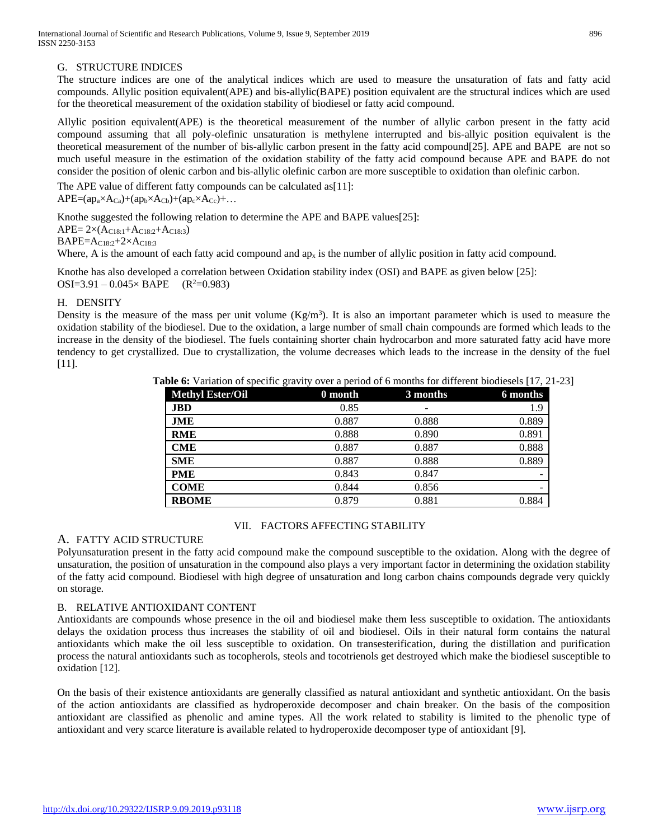# G. STRUCTURE INDICES

The structure indices are one of the analytical indices which are used to measure the unsaturation of fats and fatty acid compounds. Allylic position equivalent(APE) and bis-allylic(BAPE) position equivalent are the structural indices which are used for the theoretical measurement of the oxidation stability of biodiesel or fatty acid compound.

Allylic position equivalent(APE) is the theoretical measurement of the number of allylic carbon present in the fatty acid compound assuming that all poly-olefinic unsaturation is methylene interrupted and bis-allyic position equivalent is the theoretical measurement of the number of bis-allylic carbon present in the fatty acid compound[25]. APE and BAPE are not so much useful measure in the estimation of the oxidation stability of the fatty acid compound because APE and BAPE do not consider the position of olenic carbon and bis-allylic olefinic carbon are more susceptible to oxidation than olefinic carbon.

The APE value of different fatty compounds can be calculated as[11]:  $APE=(ap_a\times A_{Ca})+(ap_b\times A_{Cb})+(ap_c\times A_{Cc})+...$ 

Knothe suggested the following relation to determine the APE and BAPE values[25]:

 $APE = 2 \times (A_{C18:1} + A_{C18:2} + A_{C18:3})$ 

BAPE=AC18:2+2×AC18:3

Where, A is the amount of each fatty acid compound and  $ap_x$  is the number of allylic position in fatty acid compound.

Knothe has also developed a correlation between Oxidation stability index (OSI) and BAPE as given below [25]:  $OSI=3.91 - 0.045 \times BAPE$  (R<sup>2</sup>=0.983)

# H. DENSITY

Density is the measure of the mass per unit volume  $(Kg/m<sup>3</sup>)$ . It is also an important parameter which is used to measure the oxidation stability of the biodiesel. Due to the oxidation, a large number of small chain compounds are formed which leads to the increase in the density of the biodiesel. The fuels containing shorter chain hydrocarbon and more saturated fatty acid have more tendency to get crystallized. Due to crystallization, the volume decreases which leads to the increase in the density of the fuel [11].

| <b>able 6:</b> Variation of specific gravity over a period of 6 months for different biodiesels $[17, 21]$ |         |          |          |
|------------------------------------------------------------------------------------------------------------|---------|----------|----------|
| <b>Methyl Ester/Oil</b>                                                                                    | 0 month | 3 months | 6 months |
| <b>JBD</b>                                                                                                 | 0.85    |          | 1.9      |
| JME                                                                                                        | 0.887   | 0.888    | 0.889    |
| <b>RME</b>                                                                                                 | 0.888   | 0.890    | 0.891    |
| <b>CME</b>                                                                                                 | 0.887   | 0.887    | 0.888    |
| <b>SME</b>                                                                                                 | 0.887   | 0.888    | 0.889    |
| <b>PME</b>                                                                                                 | 0.843   | 0.847    |          |
| <b>COME</b>                                                                                                | 0.844   | 0.856    |          |
| <b>RBOME</b>                                                                                               | 0.879   | 0.881    | 0.884    |

**Table 6:** Variation of specific gravity over a period of 6 months for different biodiesels [17, 21-23]

### VII. FACTORS AFFECTING STABILITY

# A. FATTY ACID STRUCTURE

Polyunsaturation present in the fatty acid compound make the compound susceptible to the oxidation. Along with the degree of unsaturation, the position of unsaturation in the compound also plays a very important factor in determining the oxidation stability of the fatty acid compound. Biodiesel with high degree of unsaturation and long carbon chains compounds degrade very quickly on storage.

# B. RELATIVE ANTIOXIDANT CONTENT

Antioxidants are compounds whose presence in the oil and biodiesel make them less susceptible to oxidation. The antioxidants delays the oxidation process thus increases the stability of oil and biodiesel. Oils in their natural form contains the natural antioxidants which make the oil less susceptible to oxidation. On transesterification, during the distillation and purification process the natural antioxidants such as tocopherols, steols and tocotrienols get destroyed which make the biodiesel susceptible to oxidation [12].

On the basis of their existence antioxidants are generally classified as natural antioxidant and synthetic antioxidant. On the basis of the action antioxidants are classified as hydroperoxide decomposer and chain breaker. On the basis of the composition antioxidant are classified as phenolic and amine types. All the work related to stability is limited to the phenolic type of antioxidant and very scarce literature is available related to hydroperoxide decomposer type of antioxidant [9].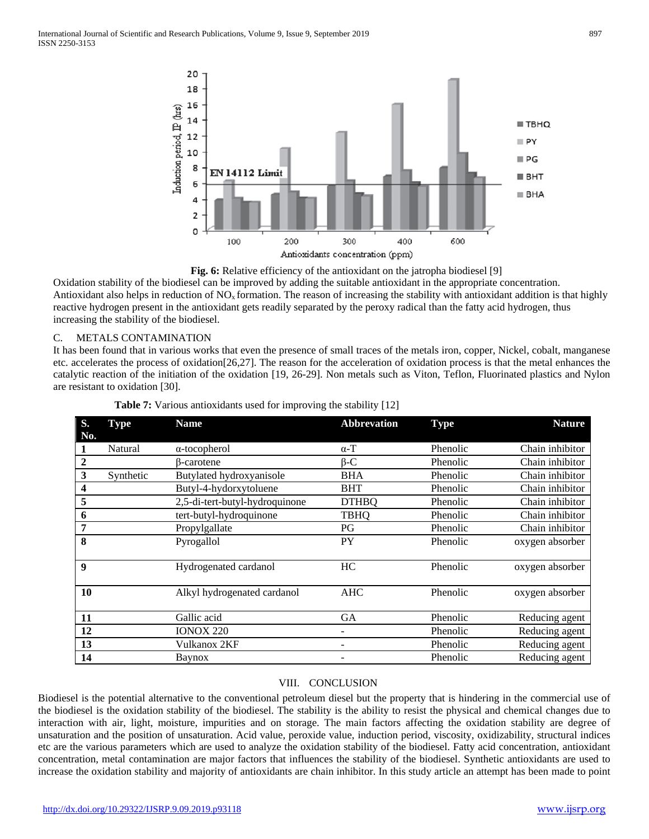

**Fig. 6:** Relative efficiency of the antioxidant on the jatropha biodiesel [9]

Oxidation stability of the biodiesel can be improved by adding the suitable antioxidant in the appropriate concentration. Antioxidant also helps in reduction of  $NO<sub>x</sub>$  formation. The reason of increasing the stability with antioxidant addition is that highly reactive hydrogen present in the antioxidant gets readily separated by the peroxy radical than the fatty acid hydrogen, thus increasing the stability of the biodiesel.

# C. METALS CONTAMINATION

It has been found that in various works that even the presence of small traces of the metals iron, copper, Nickel, cobalt, manganese etc. accelerates the process of oxidation[26,27]. The reason for the acceleration of oxidation process is that the metal enhances the catalytic reaction of the initiation of the oxidation [19, 26-29]. Non metals such as Viton, Teflon, Fluorinated plastics and Nylon are resistant to oxidation [30].

| S.                      | <b>Type</b> | <b>Name</b>                    | <b>Abbrevation</b> | <b>Type</b> | <b>Nature</b>   |
|-------------------------|-------------|--------------------------------|--------------------|-------------|-----------------|
| No.                     |             |                                |                    |             |                 |
| 1                       | Natural     | $\alpha$ -tocopherol           | $\alpha$ -T        | Phenolic    | Chain inhibitor |
| $\boldsymbol{2}$        |             | ß-carotene                     | $\beta$ -C         | Phenolic    | Chain inhibitor |
| $\mathbf{3}$            | Synthetic   | Butylated hydroxyanisole       | <b>BHA</b>         | Phenolic    | Chain inhibitor |
| $\overline{\mathbf{4}}$ |             | Butyl-4-hydorxytoluene         | <b>BHT</b>         | Phenolic    | Chain inhibitor |
| 5                       |             | 2,5-di-tert-butyl-hydroquinone | <b>DTHBQ</b>       | Phenolic    | Chain inhibitor |
| 6                       |             | tert-butyl-hydroquinone        | <b>TBHQ</b>        | Phenolic    | Chain inhibitor |
| 7                       |             | Propylgallate                  | PG                 | Phenolic    | Chain inhibitor |
| 8                       |             | Pyrogallol                     | PY                 | Phenolic    | oxygen absorber |
|                         |             |                                |                    |             |                 |
| 9                       |             | Hydrogenated cardanol          | HC                 | Phenolic    | oxygen absorber |
|                         |             |                                |                    |             |                 |
| <b>10</b>               |             | Alkyl hydrogenated cardanol    | <b>AHC</b>         | Phenolic    | oxygen absorber |
|                         |             |                                |                    |             |                 |
| 11                      |             | Gallic acid                    | <b>GA</b>          | Phenolic    | Reducing agent  |
| 12                      |             | <b>IONOX 220</b>               | Ξ.                 | Phenolic    | Reducing agent  |
| 13                      |             | Vulkanox 2KF                   |                    | Phenolic    | Reducing agent  |
| 14                      |             | Baynox                         |                    | Phenolic    | Reducing agent  |

|  | Table 7: Various antioxidants used for improving the stability [12] |  |  |
|--|---------------------------------------------------------------------|--|--|
|  |                                                                     |  |  |
|  |                                                                     |  |  |

# VIII. CONCLUSION

Biodiesel is the potential alternative to the conventional petroleum diesel but the property that is hindering in the commercial use of the biodiesel is the oxidation stability of the biodiesel. The stability is the ability to resist the physical and chemical changes due to interaction with air, light, moisture, impurities and on storage. The main factors affecting the oxidation stability are degree of unsaturation and the position of unsaturation. Acid value, peroxide value, induction period, viscosity, oxidizability, structural indices etc are the various parameters which are used to analyze the oxidation stability of the biodiesel. Fatty acid concentration, antioxidant concentration, metal contamination are major factors that influences the stability of the biodiesel. Synthetic antioxidants are used to increase the oxidation stability and majority of antioxidants are chain inhibitor. In this study article an attempt has been made to point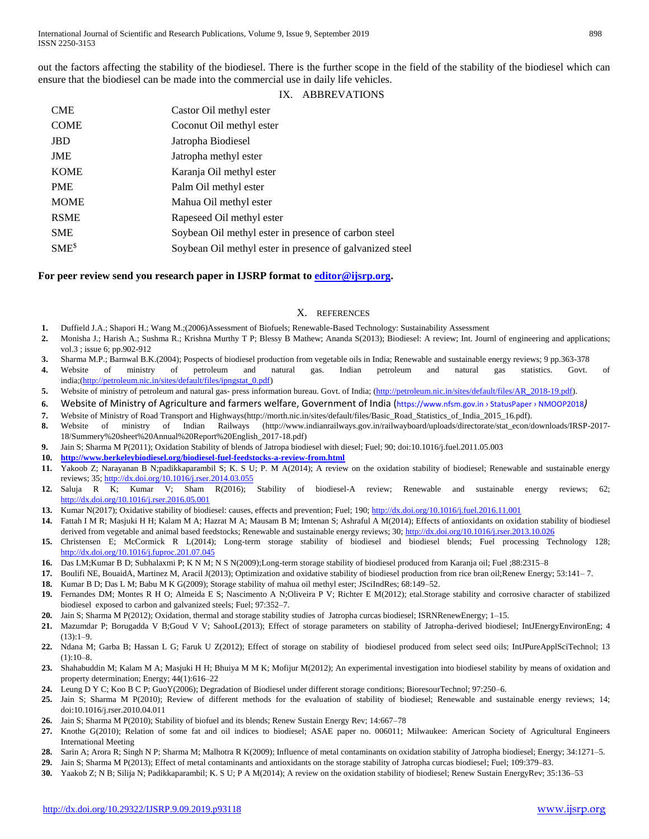out the factors affecting the stability of the biodiesel. There is the further scope in the field of the stability of the biodiesel which can ensure that the biodiesel can be made into the commercial use in daily life vehicles.

## IX. ABBREVATIONS

| <b>CME</b>  | Castor Oil methyl ester                                  |
|-------------|----------------------------------------------------------|
| <b>COME</b> | Coconut Oil methyl ester                                 |
| <b>JBD</b>  | Jatropha Biodiesel                                       |
| <b>JME</b>  | Jatropha methyl ester                                    |
| <b>KOME</b> | Karanja Oil methyl ester                                 |
| <b>PME</b>  | Palm Oil methyl ester                                    |
| <b>MOME</b> | Mahua Oil methyl ester                                   |
| <b>RSME</b> | Rapeseed Oil methyl ester                                |
| <b>SME</b>  | Soybean Oil methyl ester in presence of carbon steel     |
| $SME^{\$}$  | Soybean Oil methyl ester in presence of galvanized steel |

### **For peer review send you research paper in IJSRP format to [editor@ijsrp.org.](mailto:editor@ijsrp.org)**

#### X. REFERENCES

- **1.** Duffield J.A.; Shapori H.; Wang M.;(2006)Assessment of Biofuels; Renewable-Based Technology: Sustainability Assessment
- **2.** Monisha J.; Harish A.; Sushma R.; Krishna Murthy T P; Blessy B Mathew; Ananda S(2013); Biodiesel: A review; Int. Journl of engineering and applications; vol.3 ; issue 6; pp.902-912
- **3.** Sharma M.P.; Barnwal B.K.(2004); Pospects of biodiesel production from vegetable oils in India; Renewable and sustainable energy reviews; 9 pp.363-378
- **4.** Website of ministry of petroleum and natural gas. Indian petroleum and natural gas statistics. Govt. of india;[\(http://petroleum.nic.in/sites/default/files/ipngstat\\_0.pdf\)](http://petroleum.nic.in/sites/default/files/ipngstat_0.pdf)
- 5. Website of ministry of petroleum and natural gas- press information bureau. Govt. of India; [\(http://petroleum.nic.in/sites/default/files/AR\\_2018-19.pdf\)](http://petroleum.nic.in/sites/default/files/AR_2018-19.pdf).
- **6.** Website of Ministry of Agriculture and farmers welfare, Government of India (https://www.nfsm.gov.in › StatusPaper › NMOOP2018*)*
- **7.** Website of Ministry of Road Transport and Highways(http://morth.nic.in/sites/default/files/Basic\_Road\_Statistics\_of\_India\_2015\_16.pdf).
- **8.** Website of ministry of Indian Railways (http://www.indianrailways.gov.in/railwayboard/uploads/directorate/stat\_econ/downloads/IRSP-2017- 18/Summery%20sheet%20Annual%20Report%20English\_2017-18.pdf)
- **9.** Jain S; Sharma M P(2011); Oxidation Stability of blends of Jatropa biodiesel with diesel; Fuel; 90; doi:10.1016/j.fuel.2011.05.003
- **10. <http://www.berkeleybiodiesel.org/biodiesel-fuel-feedstocks-a-review-from.html>**
- **11.** Yakoob Z; Narayanan B N;padikkaparambil S; K. S U; P. M A(2014); A review on the oxidation stability of biodiesel; Renewable and sustainable energy reviews; 35[; http://dx.doi.org/10.1016/j.rser.2014.03.055](http://dx.doi.org/10.1016/j.rser.2014.03.055)
- **12.** Saluja R K; Kumar V; Sham R(2016); Stability of biodiesel-A review; Renewable and sustainable energy reviews; 62; <http://dx.doi.org/10.1016/j.rser.2016.05.001>
- **13.** Kumar N(2017); Oxidative stability of biodiesel: causes, effects and prevention; Fuel; 190;<http://dx.doi.org/10.1016/j.fuel.2016.11.001>
- **14.** Fattah I M R; Masjuki H H; Kalam M A; Hazrat M A; Mausam B M; Imtenan S; Ashraful A M(2014); Effects of antioxidants on oxidation stability of biodiesel derived from vegetable and animal based feedstocks; Renewable and sustainable energy reviews; 30[; http://dx.doi.org/10.1016/j.rser.2013.10.026](http://dx.doi.org/10.1016/j.rser.2013.10.026)
- **15.** Christensen E; McCormick R L(2014); Long-term storage stability of biodiesel and biodiesel blends; Fuel processing Technology 128; <http://dx.doi.org/10.1016/j.fuproc.201.07.045>
- **16.** Das LM;Kumar B D; Subhalaxmi P; K N M; N S N(2009);Long-term storage stability of biodiesel produced from Karanja oil; Fuel ;88:2315–8
- **17.** Boulifi NE, BouaidA, Martinez M, Aracil J(2013); Optimization and oxidative stability of biodiesel production from rice bran oil;Renew Energy; 53:141– 7.
- **18.** Kumar B D; Das L M; Babu M K G(2009); Storage stability of mahua oil methyl ester; JSciIndRes; 68:149–52.
- **19.** Fernandes DM; Montes R H O; Almeida E S; Nascimento A N;Oliveira P V; Richter E M(2012); etal.Storage stability and corrosive character of stabilized biodiesel exposed to carbon and galvanized steels; Fuel; 97:352–7.
- **20.** Jain S; Sharma M P(2012); Oxidation, thermal and storage stability studies of Jatropha curcas biodiesel; ISRNRenewEnergy; 1–15.
- **21.** Mazumdar P; Borugadda V B;Goud V V; SahooL(2013); Effect of storage parameters on stability of Jatropha-derived biodiesel; IntJEnergyEnvironEng; 4 (13):1–9.
- **22.** Ndana M; Garba B; Hassan L G; Faruk U Z(2012); Effect of storage on stability of biodiesel produced from select seed oils; IntJPureApplSciTechnol; 13  $(1):10-8.$
- **23.** Shahabuddin M; Kalam M A; Masjuki H H; Bhuiya M M K; Mofijur M(2012); An experimental investigation into biodiesel stability by means of oxidation and property determination; Energy; 44(1):616–22
- **24.** Leung D Y C; Koo B C P; GuoY(2006); Degradation of Biodiesel under different storage conditions; BioresourTechnol; 97:250–6.
- **25.** Jain S; Sharma M P(2010); Review of different methods for the evaluation of stability of biodiesel; Renewable and sustainable energy reviews; 14; doi:10.1016/j.rser.2010.04.011
- **26.** Jain S; Sharma M P(2010); Stability of biofuel and its blends; Renew Sustain Energy Rev; 14:667–78
- **27.** Knothe G(2010); Relation of some fat and oil indices to biodiesel; ASAE paper no. 006011; Milwaukee: American Society of Agricultural Engineers International Meeting
- **28.** Sarin A; Arora R; Singh N P; Sharma M; Malhotra R K(2009); Influence of metal contaminants on oxidation stability of Jatropha biodiesel; Energy; 34:1271–5.
- **29.** Jain S; Sharma M P(2013); Effect of metal contaminants and antioxidants on the storage stability of Jatropha curcas biodiesel; Fuel; 109:379–83.
- **30.** Yaakob Z; N B; Silija N; Padikkaparambil; K. S U; P A M(2014); A review on the oxidation stability of biodiesel; Renew Sustain EnergyRev; 35:136–53